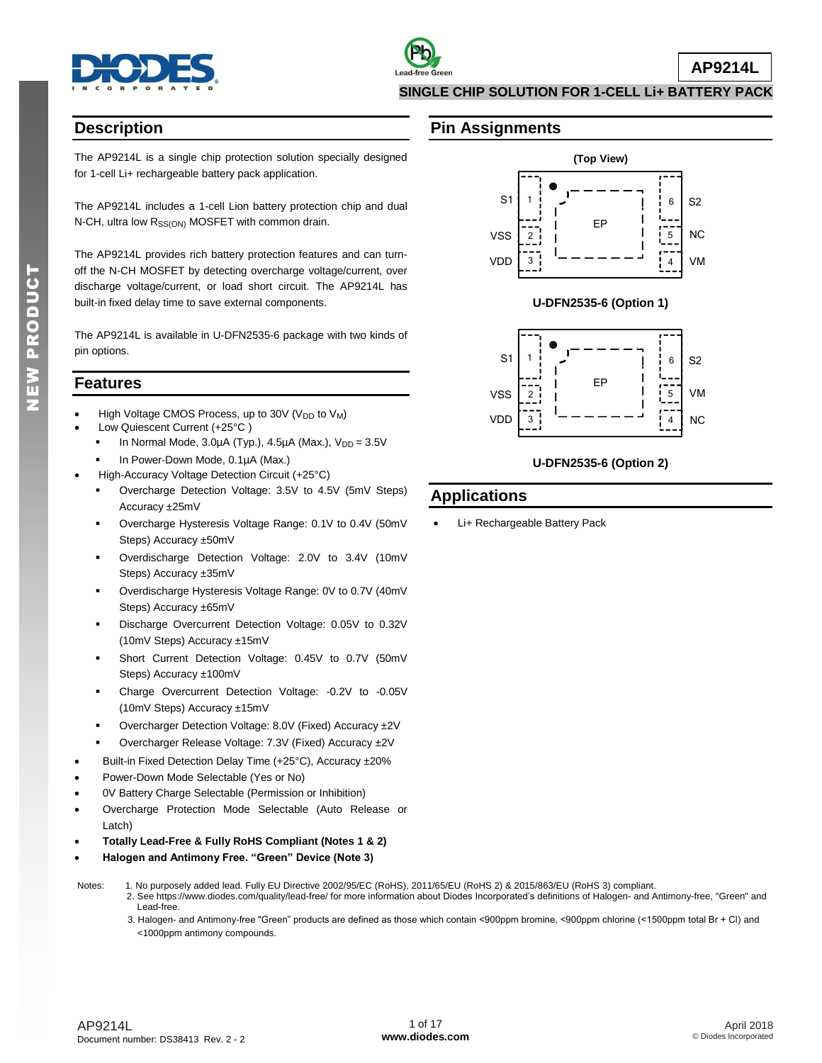

### **Description**

The AP9214L is a single chip protection solution specially designed for 1-cell Li+ rechargeable battery pack application.

The AP9214L includes a 1-cell Lion battery protection chip and dual N-CH, ultra low R<sub>SS(ON)</sub> MOSFET with common drain.

The AP9214L provides rich battery protection features and can turnoff the N-CH MOSFET by detecting overcharge voltage/current, over discharge voltage/current, or load short circuit. The AP9214L has built-in fixed delay time to save external components.

The AP9214L is available in U-DFN2535-6 package with two kinds of pin options.

### **Features**

- High Voltage CMOS Process, up to 30V (V<sub>DD</sub> to V<sub>M</sub>)
- Low Quiescent Current (+25°C )
	- In Normal Mode,  $3.0\mu$ A (Typ.),  $4.5\mu$ A (Max.),  $V_{DD} = 3.5V$
	- In Power-Down Mode, 0.1µA (Max.)
	- High-Accuracy Voltage Detection Circuit (+25°C)
	- Overcharge Detection Voltage: 3.5V to 4.5V (5mV Steps) Accuracy ±25mV
	- Overcharge Hysteresis Voltage Range: 0.1V to 0.4V (50mV Steps) Accuracy ±50mV
	- Overdischarge Detection Voltage: 2.0V to 3.4V (10mV Steps) Accuracy ±35mV
	- Overdischarge Hysteresis Voltage Range: 0V to 0.7V (40mV Steps) Accuracy ±65mV
	- Discharge Overcurrent Detection Voltage: 0.05V to 0.32V (10mV Steps) Accuracy ±15mV
	- Short Current Detection Voltage: 0.45V to 0.7V (50mV Steps) Accuracy ±100mV
	- Charge Overcurrent Detection Voltage: -0.2V to -0.05V (10mV Steps) Accuracy ±15mV
	- Overcharger Detection Voltage: 8.0V (Fixed) Accuracy ±2V
	- Overcharger Release Voltage: 7.3V (Fixed) Accuracy ±2V
- Built-in Fixed Detection Delay Time (+25°C), Accuracy ±20%
- Power-Down Mode Selectable (Yes or No)
- 0V Battery Charge Selectable (Permission or Inhibition)
- Overcharge Protection Mode Selectable (Auto Release or Latch)
- **Totally Lead-Free & Fully RoHS Compliant (Notes 1 & 2)**
- **Halogen and Antimony Free. "Green" Device (Note 3)**
- Notes: 1. No purposely added lead. Fully EU Directive 2002/95/EC (RoHS), 2011/65/EU (RoHS 2) & 2015/863/EU (RoHS 3) compliant.
	- 2. See [https://www.diodes.com/quality/lead-free/ fo](https://www.diodes.com/quality/lead-free/)r more information about Diodes Incorporated's definitions of Halogen- and Antimony-free, "Green" and Lead-free.
		- 3. Halogen- and Antimony-free "Green" products are defined as those which contain <900ppm bromine, <900ppm chlorine (<1500ppm total Br + Cl) and <1000ppm antimony compounds.

### **Pin Assignments**



**U-DFN2535-6 (Option 1)**



### **U-DFN2535-6 (Option 2)**

### **Applications**

Li+ Rechargeable Battery Pack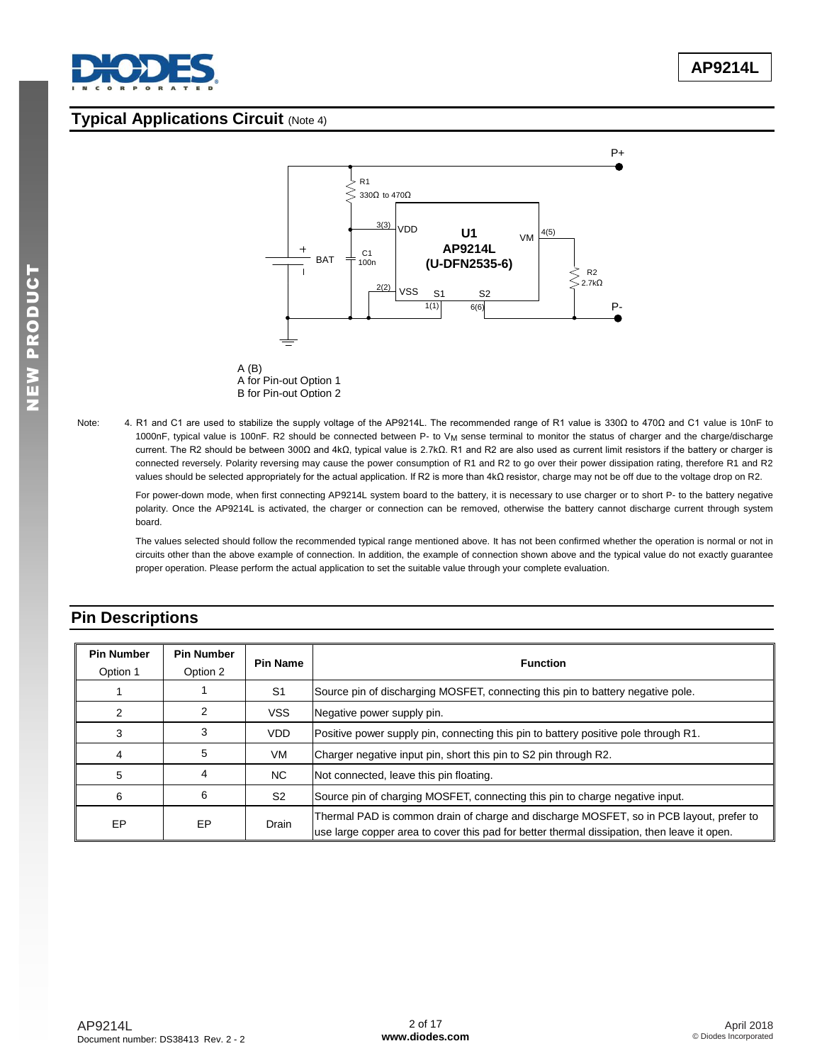

## **Typical Applications Circuit** (Note 4)





Note: 4. R1 and C1 are used to stabilize the supply voltage of the AP9214L. The recommended range of R1 value is 330Ω to 470Ω and C1 value is 10nF to 1000nF, typical value is 100nF. R2 should be connected between P- to V<sub>M</sub> sense terminal to monitor the status of charger and the charge/discharge current. The R2 should be between 300Ω and 4kΩ, typical value is 2.7kΩ. R1 and R2 are also used as current limit resistors if the battery or charger is connected reversely. Polarity reversing may cause the power consumption of R1 and R2 to go over their power dissipation rating, therefore R1 and R2 values should be selected appropriately for the actual application. If R2 is more than 4kΩ resistor, charge may not be off due to the voltage drop on R2.

For power-down mode, when first connecting AP9214L system board to the battery, it is necessary to use charger or to short P- to the battery negative polarity. Once the AP9214L is activated, the charger or connection can be removed, otherwise the battery cannot discharge current through system board.

The values selected should follow the recommended typical range mentioned above. It has not been confirmed whether the operation is normal or not in circuits other than the above example of connection. In addition, the example of connection shown above and the typical value do not exactly guarantee proper operation. Please perform the actual application to set the suitable value through your complete evaluation.

| <b>Pin Number</b><br>Option 1 | <b>Pin Number</b><br>Option 2 | <b>Pin Name</b> | <b>Function</b>                                                                                                                                                                        |
|-------------------------------|-------------------------------|-----------------|----------------------------------------------------------------------------------------------------------------------------------------------------------------------------------------|
|                               |                               | S <sub>1</sub>  | Source pin of discharging MOSFET, connecting this pin to battery negative pole.                                                                                                        |
| 2                             | 2                             | <b>VSS</b>      | Negative power supply pin.                                                                                                                                                             |
| 3                             | 3                             | VDD.            | Positive power supply pin, connecting this pin to battery positive pole through R1.                                                                                                    |
| 4                             | 5                             | VM              | Charger negative input pin, short this pin to S2 pin through R2.                                                                                                                       |
| 5                             | 4                             | NC.             | Not connected, leave this pin floating.                                                                                                                                                |
| 6                             | 6                             | S <sub>2</sub>  | Source pin of charging MOSFET, connecting this pin to charge negative input.                                                                                                           |
| EP                            | EP                            | Drain           | Thermal PAD is common drain of charge and discharge MOSFET, so in PCB layout, prefer to<br>use large copper area to cover this pad for better thermal dissipation, then leave it open. |

# **Pin Descriptions**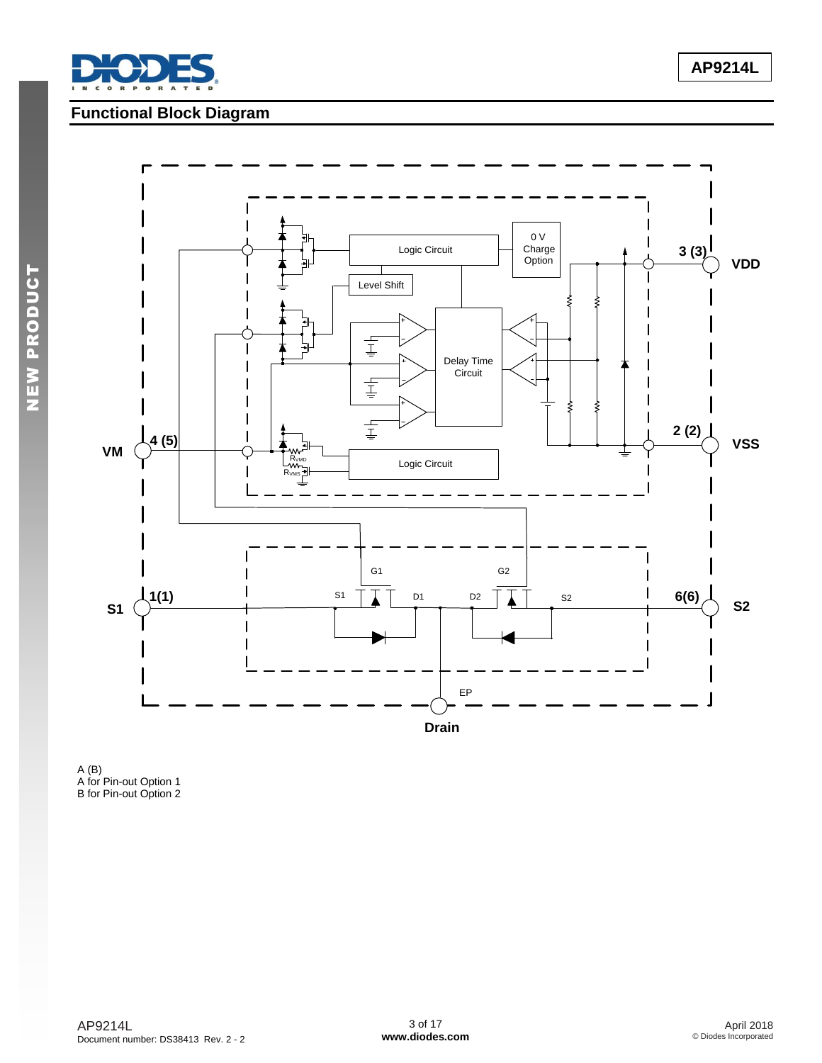

# **Functional Block Diagram**



A (B) A for Pin-out Option 1 B for Pin-out Option 2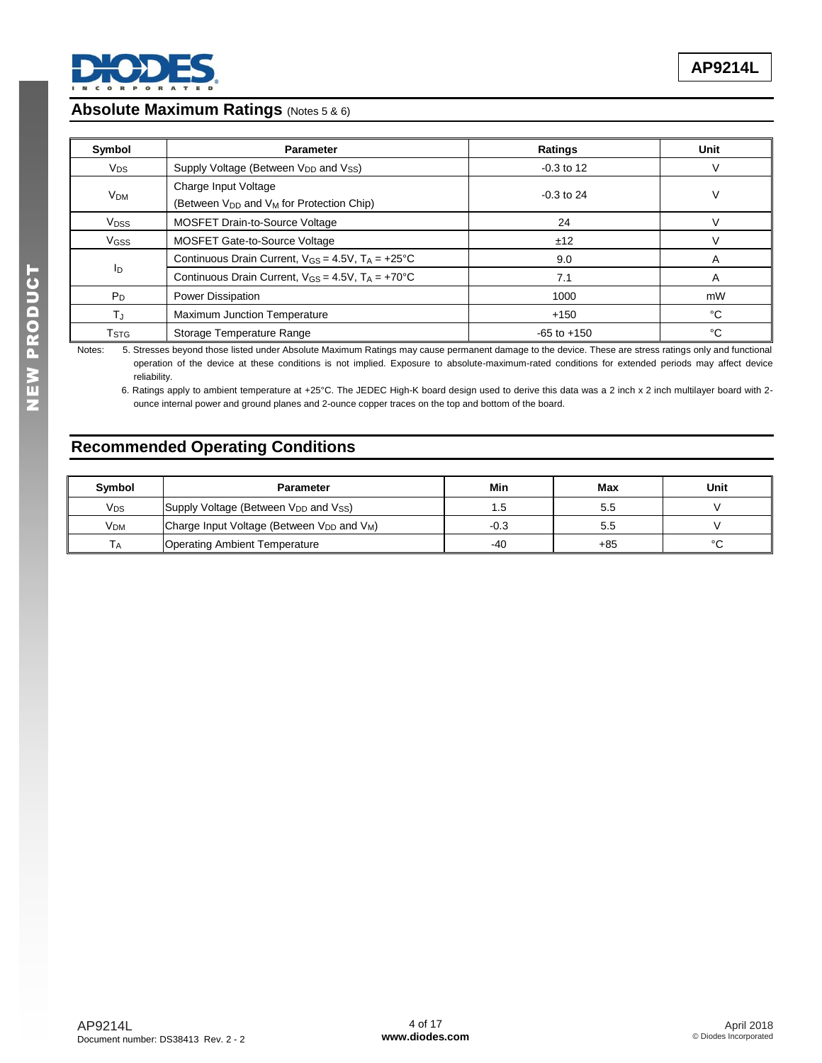

### **Absolute Maximum Ratings** (Notes 5 & 6)

| Symbol                    | <b>Parameter</b>                                                         | Ratings         | Unit |
|---------------------------|--------------------------------------------------------------------------|-----------------|------|
| <b>V<sub>DS</sub></b>     | Supply Voltage (Between V <sub>DD</sub> and Vss)                         | $-0.3$ to 12    | V    |
| V <sub>DM</sub>           | Charge Input Voltage<br>(Between $V_{DD}$ and $V_M$ for Protection Chip) | $-0.3$ to 24    | V    |
| <b>V<sub>DSS</sub></b>    | <b>MOSFET Drain-to-Source Voltage</b>                                    | 24              | V    |
| V <sub>GSS</sub>          | MOSFET Gate-to-Source Voltage                                            | ±12             | V    |
|                           | Continuous Drain Current, $V_{GS} = 4.5V$ , $T_A = +25°C$                | 9.0             | A    |
| ΙD                        | Continuous Drain Current, $V_{GS} = 4.5V$ , $T_A = +70^{\circ}C$         | 7.1             | A    |
| $P_D$                     | <b>Power Dissipation</b>                                                 | 1000            | mW   |
| TJ.                       | Maximum Junction Temperature                                             | $+150$          | °C   |
| $\mathsf{T}_{\text{STG}}$ | Storage Temperature Range                                                | $-65$ to $+150$ | °C   |

Notes: 5. Stresses beyond those listed under Absolute Maximum Ratings may cause permanent damage to the device. These are stress ratings only and functional operation of the device at these conditions is not implied. Exposure to absolute-maximum-rated conditions for extended periods may affect device reliability.

 6. Ratings apply to ambient temperature at +25°C. The JEDEC High-K board design used to derive this data was a 2 inch x 2 inch multilayer board with 2 ounce internal power and ground planes and 2-ounce copper traces on the top and bottom of the board.

# **Recommended Operating Conditions**

| <b>Symbol</b>         | <b>Parameter</b>                                   | Min    | Max   | Unit    |
|-----------------------|----------------------------------------------------|--------|-------|---------|
| <b>V<sub>DS</sub></b> | Supply Voltage (Between $V_{DD}$ and $V_{SS}$ )    | 1.5    | 5.5   |         |
| V <sub>DM</sub>       | Charge Input Voltage (Between $V_{DD}$ and $V_M$ ) | $-0.3$ | 5.5   |         |
| $\overline{A}$        | <b>Operating Ambient Temperature</b>               | -40    | $+85$ | $\circ$ |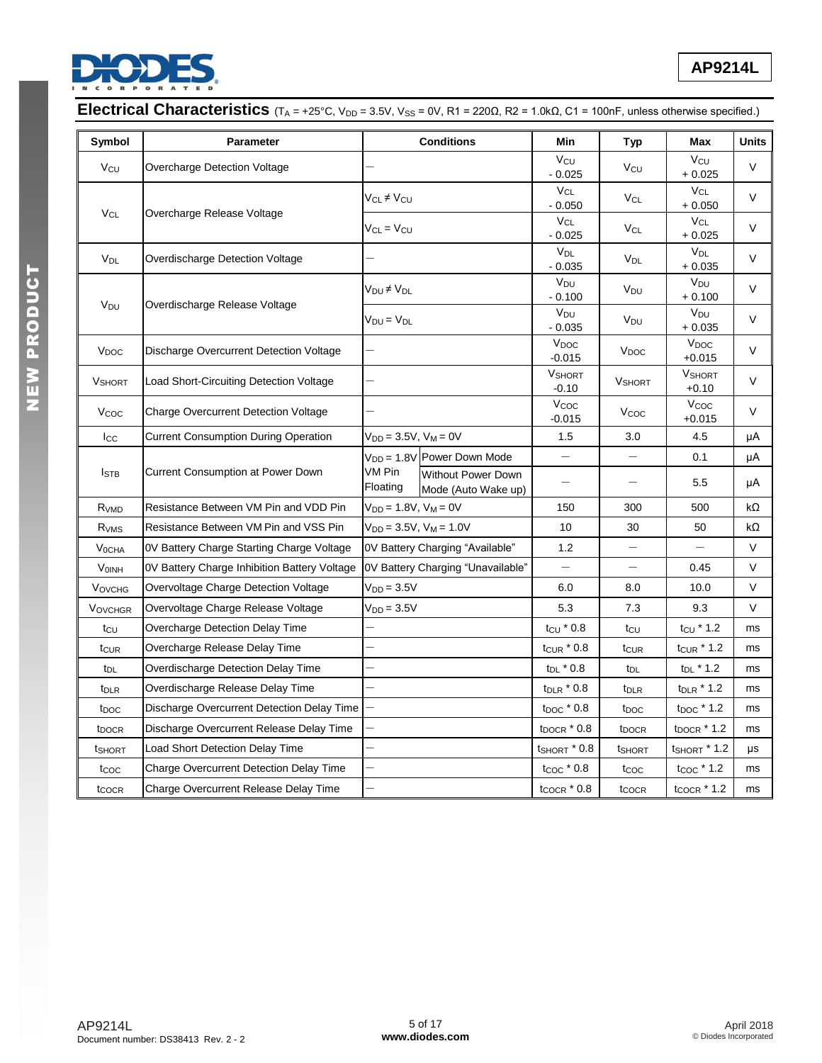

| Symbol                  | <b>Parameter</b>                             |                                  | <b>Conditions</b>                                | Min                          | <b>Typ</b>               | Max                          | <b>Units</b> |
|-------------------------|----------------------------------------------|----------------------------------|--------------------------------------------------|------------------------------|--------------------------|------------------------------|--------------|
| Vcu                     | Overcharge Detection Voltage                 |                                  |                                                  | $V_{\rm CU}$<br>$-0.025$     | Vcu                      | V <sub>CU</sub><br>$+0.025$  | V            |
|                         |                                              | Vc∟≠Vcu                          |                                                  | $V_{CL}$<br>$-0.050$         | V <sub>CL</sub>          | $V_{CL}$<br>$+0.050$         | V            |
| $V_{CL}$                | Overcharge Release Voltage                   | $V_{CL} = V_{CU}$                |                                                  | $V_{CL}$<br>$-0.025$         | $V_{CL}$                 | $V_{CL}$<br>$+0.025$         | V            |
| V <sub>DL</sub>         | Overdischarge Detection Voltage              |                                  |                                                  | $V_{DL}$<br>$-0.035$         | <b>V<sub>DL</sub></b>    | $V_{DL}$<br>$+0.035$         | V            |
|                         |                                              | V <sub>DU</sub> ≠V <sub>DL</sub> |                                                  | V <sub>DU</sub><br>$-0.100$  | V <sub>DU</sub>          | $V_{DU}$<br>$+0.100$         | V            |
| V <sub>DU</sub>         | Overdischarge Release Voltage                | $V_{DU} = V_{DL}$                |                                                  | V <sub>DU</sub><br>$-0.035$  | V <sub>DU</sub>          | V <sub>DU</sub><br>$+0.035$  | V            |
| V <sub>DOC</sub>        | Discharge Overcurrent Detection Voltage      |                                  |                                                  | V <sub>DOC</sub><br>$-0.015$ | V <sub>DOC</sub>         | V <sub>DOC</sub><br>$+0.015$ | V            |
| <b>V</b> SHORT          | Load Short-Circuiting Detection Voltage      |                                  |                                                  |                              | <b>V</b> SHORT           | <b>VSHORT</b><br>$+0.10$     | V            |
| Vcoc                    | <b>Charge Overcurrent Detection Voltage</b>  |                                  |                                                  | Vcoc<br>$-0.015$             | V <sub>coc</sub>         | Vcoc<br>$+0.015$             | V            |
| Icc                     | <b>Current Consumption During Operation</b>  |                                  | $V_{DD} = 3.5V$ , $V_M = 0V$                     |                              | 3.0                      | 4.5                          | μA           |
|                         |                                              |                                  | $V_{DD} = 1.8V$ Power Down Mode                  |                              |                          | 0.1                          | μA           |
| <b>I</b> STB            | <b>Current Consumption at Power Down</b>     | VM Pin<br>Floating               | <b>Without Power Down</b><br>Mode (Auto Wake up) | $\overline{\phantom{0}}$     |                          | 5.5                          | μA           |
| R <sub>VMD</sub>        | Resistance Between VM Pin and VDD Pin        | $V_{DD} = 1.8V, V_M = 0V$        |                                                  | 150                          | 300                      | 500                          | kΩ           |
| R <sub>VMS</sub>        | Resistance Between VM Pin and VSS Pin        |                                  | $V_{DD} = 3.5V$ , $V_M = 1.0V$                   | 10                           | 30                       | 50                           | kΩ           |
| <b>V<sub>OCHA</sub></b> | OV Battery Charge Starting Charge Voltage    |                                  | 0V Battery Charging "Available"                  | 1.2                          | $\overline{\phantom{0}}$ | $\overline{\phantom{0}}$     | V            |
| VOINH                   | OV Battery Charge Inhibition Battery Voltage |                                  | OV Battery Charging "Unavailable"                | $\overline{\phantom{m}}$     | $\qquad \qquad -$        | 0.45                         | V            |
| <b>VOVCHG</b>           | Overvoltage Charge Detection Voltage         | $V_{DD} = 3.5V$                  |                                                  | 6.0                          | 8.0                      | 10.0                         | V            |
| <b>VOVCHGR</b>          | Overvoltage Charge Release Voltage           | $V_{DD} = 3.5V$                  |                                                  | 5.3                          | 7.3                      | 9.3                          | V            |
| $t_{\text{CU}}$         | Overcharge Detection Delay Time              |                                  |                                                  | $t_{\text{CU}}$ $*$ 0.8      | tcu                      | $t_{\text{CU}}$ * 1.2        | ms           |
| t <sub>CUR</sub>        | Overcharge Release Delay Time                |                                  |                                                  | $t_{\text{CUR}}$ $*$ 0.8     | t <sub>CUR</sub>         | $t_{\text{CUR}}$ * 1.2       | ms           |
| t <sub>DL</sub>         | Overdischarge Detection Delay Time           |                                  |                                                  | $t_{DL}$ $*$ 0.8             | t <sub>DL</sub>          | $t_{DL}$ * 1.2               | ms           |
| t <sub>DLR</sub>        | Overdischarge Release Delay Time             |                                  |                                                  | $t_{\text{DLR}}$ $*$ 0.8     | t <sub>DLR</sub>         | $t_{\text{DLR}}$ * 1.2       | ms           |
| t <sub>DOC</sub>        | Discharge Overcurrent Detection Delay Time   |                                  |                                                  | $t_{\text{DOC}}$ $*$ 0.8     | t <sub>DOC</sub>         | $t_{DOC}$ $*$ 1.2            | ms           |
| t <sub>DOCR</sub>       | Discharge Overcurrent Release Delay Time     |                                  |                                                  | $t_{DOCR}$ $*$ 0.8           | t <sub>DOCR</sub>        | $top$ $1.2$                  | ms           |
| tshort                  | Load Short Detection Delay Time              | $\overline{\phantom{0}}$         |                                                  | $t$ SHORT $*$ 0.8            | tshort                   | <b>t</b> SHORT * 1.2         | μs           |
| t <sub>coc</sub>        | Charge Overcurrent Detection Delay Time      |                                  |                                                  | $t_{\text{COC}}$ $*$ 0.8     | t <sub>coc</sub>         | $t_{\text{COC}}$ $*$ 1.2     | ms           |
| t <sub>COCR</sub>       | Charge Overcurrent Release Delay Time        |                                  |                                                  | $t_{\text{COCR}}$ $*$ 0.8    | t <sub>COCR</sub>        | $t_{\text{COCR}}$ $*$ 1.2    | ms           |

# **Electrical Characteristics** (T<sub>A</sub> = +25°C, V<sub>DD</sub> = 3.5V, V<sub>SS</sub> = 0V, R1 = 220Ω, R2 = 1.0kΩ, C1 = 100nF, unless otherwise specified.)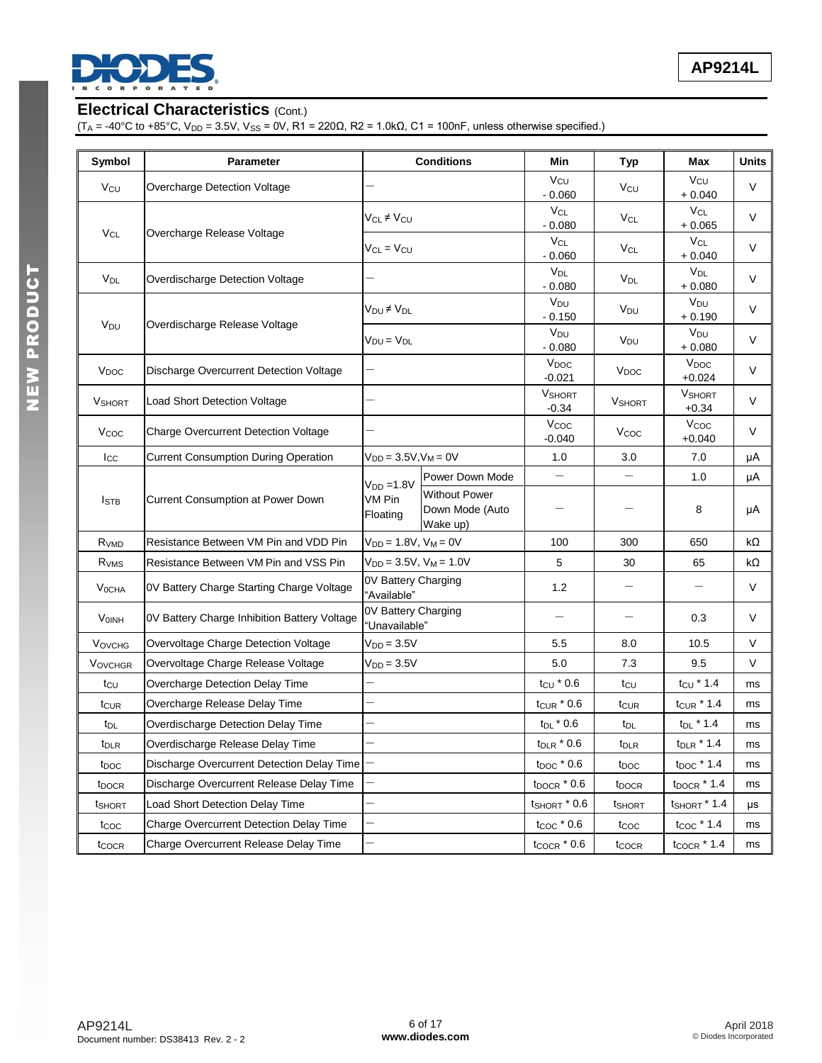

# **Electrical Characteristics** (Cont.)

 $(T_A = -40^{\circ}C$  to  $+85^{\circ}C$ ,  $V_{DD} = 3.5V$ ,  $V_{SS} = 0V$ ,  $R1 = 220Ω$ ,  $R2 = 1.0kΩ$ ,  $C1 = 100nF$ , unless otherwise specified.)

| Symbol                  | <b>Parameter</b>                             |                                      | <b>Conditions</b>                                   | Min                               | Typ                      | Max                          | Units  |
|-------------------------|----------------------------------------------|--------------------------------------|-----------------------------------------------------|-----------------------------------|--------------------------|------------------------------|--------|
| Vcu                     | Overcharge Detection Voltage                 |                                      |                                                     | Vcu<br>$-0.060$                   | Vcu                      | Vcu<br>$+0.040$              | $\vee$ |
|                         |                                              | V <sub>CL</sub> ≠ V <sub>CU</sub>    |                                                     | V <sub>CL</sub><br>$-0.080$       | $V_{CL}$                 | V <sub>CL</sub><br>$+0.065$  | $\vee$ |
| $V_{CL}$                | Overcharge Release Voltage                   | $V_{CL} = V_{CU}$                    |                                                     | $V_{CL}$<br>$-0.060$              | <b>V<sub>CL</sub></b>    | $V_{CL}$<br>$+0.040$         | $\vee$ |
| V <sub>DL</sub>         | Overdischarge Detection Voltage              |                                      |                                                     | <b>V<sub>DL</sub></b><br>$-0.080$ | V <sub>DL</sub>          | V <sub>DL</sub><br>$+0.080$  | $\vee$ |
|                         |                                              | $V_{DU} \neq V_{DL}$                 |                                                     | V <sub>DU</sub><br>$-0.150$       | V <sub>DU</sub>          | V <sub>DU</sub><br>$+0.190$  | V      |
| V <sub>DU</sub>         | Overdischarge Release Voltage                | $V_{DU} = V_{DL}$                    |                                                     | V <sub>DU</sub><br>$-0.080$       | V <sub>DU</sub>          | V <sub>DU</sub><br>$+0.080$  | V      |
| V <sub>DOC</sub>        | Discharge Overcurrent Detection Voltage      |                                      |                                                     | $V_{DOC}$<br>$-0.021$             | V <sub>DOC</sub>         | V <sub>DOC</sub><br>$+0.024$ | V      |
| <b>V</b> SHORT          | Load Short Detection Voltage                 |                                      |                                                     | <b>VSHORT</b><br>$-0.34$          | <b>V</b> SHORT           | <b>V</b> SHORT<br>$+0.34$    | $\vee$ |
| Vcoc                    | <b>Charge Overcurrent Detection Voltage</b>  |                                      |                                                     | Vcoc<br>$-0.040$                  | Vcoc                     | Vcoc<br>$+0.040$             | V      |
| $_{\rm lcc}$            | <b>Current Consumption During Operation</b>  | $V_{DD} = 3.5V, V_M = 0V$            |                                                     | 1.0                               | 3.0                      | 7.0                          | μA     |
|                         |                                              | $V_{DD} = 1.8V$                      | Power Down Mode                                     | $\overline{\phantom{0}}$          | $\overline{\phantom{0}}$ | 1.0                          | μA     |
| $I_{\text{STB}}$        | Current Consumption at Power Down            | VM Pin<br>Floating                   | <b>Without Power</b><br>Down Mode (Auto<br>Wake up) |                                   |                          | 8                            | μA     |
| R <sub>VMD</sub>        | Resistance Between VM Pin and VDD Pin        | $V_{DD} = 1.8V, V_M = 0V$            |                                                     | 100                               | 300                      | 650                          | kΩ     |
| R <sub>VMS</sub>        | Resistance Between VM Pin and VSS Pin        | $V_{DD} = 3.5V$ , $V_M = 1.0V$       |                                                     | 5                                 | 30                       | 65                           | kΩ     |
| <b>V<sub>OCHA</sub></b> | 0V Battery Charge Starting Charge Voltage    | 0V Battery Charging<br>"Available"   |                                                     | 1.2                               | $\overline{\phantom{0}}$ |                              | V      |
| <b>VOINH</b>            | OV Battery Charge Inhibition Battery Voltage | 0V Battery Charging<br>"Unavailable" |                                                     |                                   | $\overline{\phantom{0}}$ | 0.3                          | V      |
| <b>VOVCHG</b>           | Overvoltage Charge Detection Voltage         | $V_{DD} = 3.5V$                      |                                                     | 5.5                               | 8.0                      | 10.5                         | V      |
| <b>VOVCHGR</b>          | Overvoltage Charge Release Voltage           | $V_{DD} = 3.5V$                      |                                                     | 5.0                               | 7.3                      | 9.5                          | V      |
| tcu                     | Overcharge Detection Delay Time              |                                      |                                                     | $tcu * 0.6$                       | tcu                      | $t_{\text{CU}}$ * 1.4        | ms     |
| tcur                    | Overcharge Release Delay Time                |                                      |                                                     | $t_{\text{CUR}}$ $^*$ 0.6         | tcur                     | $t_{CUR}$ $*$ 1.4            | ms     |
| t <sub>DL</sub>         | Overdischarge Detection Delay Time           |                                      |                                                     | $t_{DL}$ $*$ 0.6                  | t <sub>DL</sub>          | $t_{DL}$ * 1.4               | ms     |
| t <sub>DLR</sub>        | Overdischarge Release Delay Time             | -                                    |                                                     | $t_{\sf DLR}$ * 0.6               | $t_{\text{DLR}}$         | $t_{\sf DLR}$ * 1.4          | ms     |
| t <sub>DOC</sub>        | Discharge Overcurrent Detection Delay Time   |                                      |                                                     | $t_{\text{DOC}}$ $*$ 0.6          | t <sub>DOC</sub>         | $t_{\text{DOC}}$ * 1.4       | ms     |
| t <sub>DOCR</sub>       | Discharge Overcurrent Release Delay Time     |                                      |                                                     | $t_{\text{DOCR}}$ $*$ 0.6         | t <sub>DOCR</sub>        | $t_{DOCR}$ $*$ 1.4           | ms     |
| t <sub>SHORT</sub>      | Load Short Detection Delay Time              |                                      |                                                     | $t_{\text{SHORT}}$ $*$ 0.6        | t <sub>SHORT</sub>       | $t_{SHORT}$ $*$ 1.4          | μs     |
| tcoc                    | Charge Overcurrent Detection Delay Time      |                                      |                                                     | $t_{\text{COC}}$ $*$ 0.6          | t <sub>coc</sub>         | $t_{\text{COC}}$ * 1.4       | ms     |
| tcocr                   | Charge Overcurrent Release Delay Time        |                                      |                                                     | $t_{\text{COCR}}$ $*$ 0.6         | tcocr                    | $t_{\text{COCR}}$ $*$ 1.4    | ms     |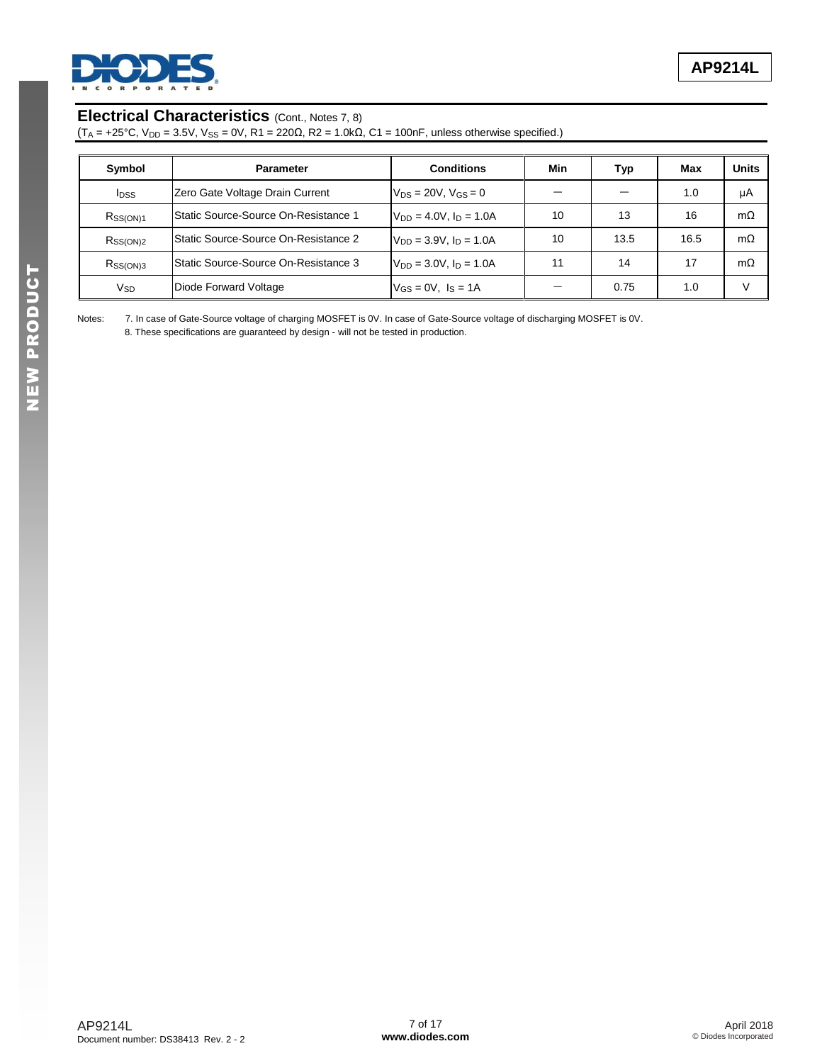

### **Electrical Characteristics** (Cont., Notes 7, 8)

 $(T_A = +25^{\circ}C, V_{DD} = 3.5V, V_{SS} = 0V, R1 = 220Ω, R2 = 1.0kΩ, C1 = 100nF, unless otherwise specified.)$ 

| Symbol                  | <b>Parameter</b>                      | <b>Conditions</b>              | Min | Typ  | Max  | <b>Units</b> |
|-------------------------|---------------------------------------|--------------------------------|-----|------|------|--------------|
| <b>I</b> <sub>DSS</sub> | Zero Gate Voltage Drain Current       | $V_{DS} = 20V$ , $V_{GS} = 0$  |     |      | 1.0  | μA           |
| $R_{\rm SS(ON)1}$       | lStatic Source-Source On-Resistance 1 | $V_{DD} = 4.0V$ , $I_D = 1.0A$ | 10  | 13   | 16   | $m\Omega$    |
| Rss(ON)2                | Static Source-Source On-Resistance 2  | $V_{DD} = 3.9V$ , $I_D = 1.0A$ | 10  | 13.5 | 16.5 | $m\Omega$    |
| Rss(ON)3                | lStatic Source-Source On-Resistance 3 | $V_{DD} = 3.0V$ , $I_D = 1.0A$ | 11  | 14   | 17   | $m\Omega$    |
| V <sub>SD</sub>         | Diode Forward Voltage                 | $V_{GS} = 0V$ , $I_S = 1A$     |     | 0.75 | 1.0  | $\mathsf{v}$ |

Notes: 7. In case of Gate-Source voltage of charging MOSFET is 0V. In case of Gate-Source voltage of discharging MOSFET is 0V.

8. These specifications are guaranteed by design - will not be tested in production.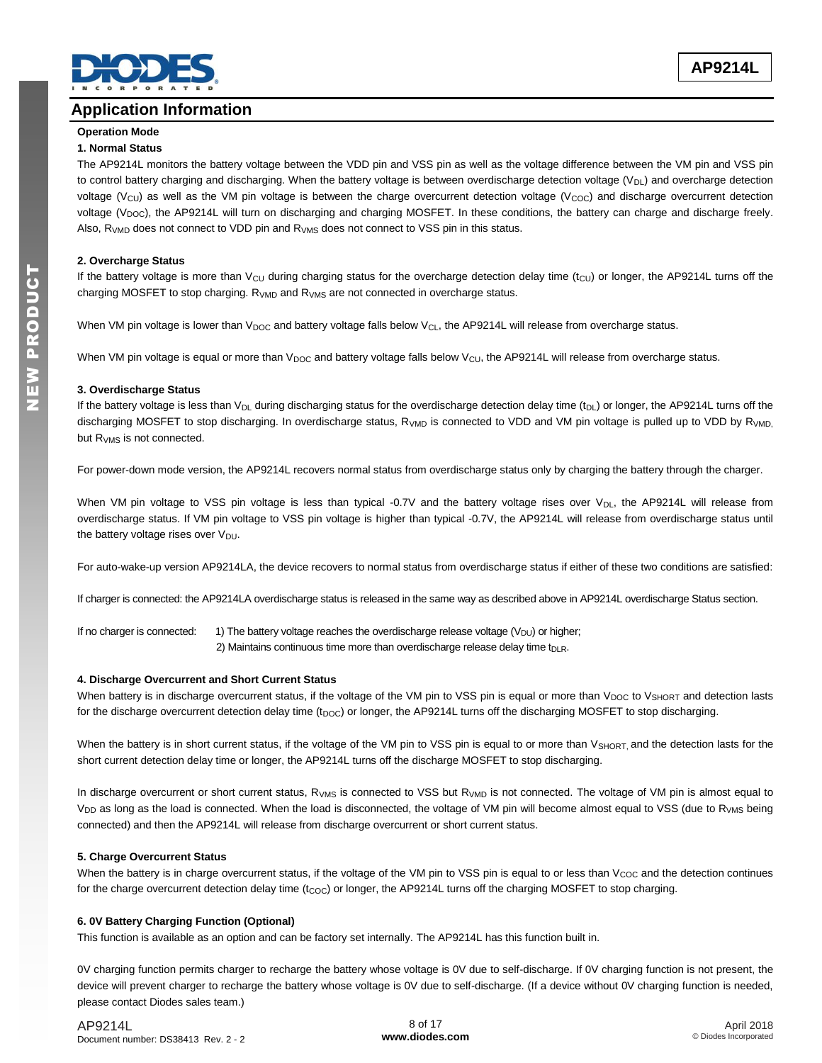

### **Application Information**

# **Operation Mode**

#### **1. Normal Status**

The AP9214L monitors the battery voltage between the VDD pin and VSS pin as well as the voltage difference between the VM pin and VSS pin to control battery charging and discharging. When the battery voltage is between overdischarge detection voltage  $(V_{DL})$  and overcharge detection voltage (V<sub>CU</sub>) as well as the VM pin voltage is between the charge overcurrent detection voltage (V<sub>COC</sub>) and discharge overcurrent detection voltage ( $V_{\text{DOC}}$ ), the AP9214L will turn on discharging and charging MOSFET. In these conditions, the battery can charge and discharge freely. Also,  $R_{VMD}$  does not connect to VDD pin and  $R_{VMS}$  does not connect to VSS pin in this status.

#### **2. Overcharge Status**

If the battery voltage is more than  $V_{\text{CU}}$  during charging status for the overcharge detection delay time (t<sub>CU</sub>) or longer, the AP9214L turns off the charging MOSFET to stop charging.  $R_{VMD}$  and  $R_{VMS}$  are not connected in overcharge status.

When VM pin voltage is lower than V<sub>DOC</sub> and battery voltage falls below V<sub>CL</sub>, the AP9214L will release from overcharge status.

When VM pin voltage is equal or more than  $V_{\text{DOC}}$  and battery voltage falls below  $V_{\text{CU}}$ , the AP9214L will release from overcharge status.

#### **3. Overdischarge Status**

If the battery voltage is less than  $V_{DL}$  during discharging status for the overdischarge detection delay time (t<sub>DL</sub>) or longer, the AP9214L turns off the discharging MOSFET to stop discharging. In overdischarge status, R<sub>VMD</sub> is connected to VDD and VM pin voltage is pulled up to VDD by R<sub>VMD,</sub> but R<sub>VMS</sub> is not connected.

For power-down mode version, the AP9214L recovers normal status from overdischarge status only by charging the battery through the charger.

When VM pin voltage to VSS pin voltage is less than typical -0.7V and the battery voltage rises over  $V_{DL}$ , the AP9214L will release from overdischarge status. If VM pin voltage to VSS pin voltage is higher than typical -0.7V, the AP9214L will release from overdischarge status until the battery voltage rises over  $V_{DU}$ .

For auto-wake-up version AP9214LA, the device recovers to normal status from overdischarge status if either of these two conditions are satisfied:

If charger is connected: the AP9214LA overdischarge status is released in the same way as described above in AP9214L overdischarge Status section.

If no charger is connected:  $1)$  The battery voltage reaches the overdischarge release voltage (V<sub>DU</sub>) or higher; 2) Maintains continuous time more than overdischarge release delay time t<sub>DLR</sub>.

### **4. Discharge Overcurrent and Short Current Status**

When battery is in discharge overcurrent status, if the voltage of the VM pin to VSS pin is equal or more than  $V_{DOC}$  to  $V_{SHORT}$  and detection lasts for the discharge overcurrent detection delay time (t<sub>DOC</sub>) or longer, the AP9214L turns off the discharging MOSFET to stop discharging.

When the battery is in short current status, if the voltage of the VM pin to VSS pin is equal to or more than V<sub>SHORT</sub>, and the detection lasts for the short current detection delay time or longer, the AP9214L turns off the discharge MOSFET to stop discharging.

In discharge overcurrent or short current status, R<sub>VMS</sub> is connected to VSS but R<sub>VMD</sub> is not connected. The voltage of VM pin is almost equal to V<sub>DD</sub> as long as the load is connected. When the load is disconnected, the voltage of VM pin will become almost equal to VSS (due to R<sub>VMS</sub> being connected) and then the AP9214L will release from discharge overcurrent or short current status.

### **5. Charge Overcurrent Status**

When the battery is in charge overcurrent status, if the voltage of the VM pin to VSS pin is equal to or less than V<sub>COC</sub> and the detection continues for the charge overcurrent detection delay time  $(t_{COC})$  or longer, the AP9214L turns off the charging MOSFET to stop charging.

### **6. 0V Battery Charging Function (Optional)**

This function is available as an option and can be factory set internally. The AP9214L has this function built in.

0V charging function permits charger to recharge the battery whose voltage is 0V due to self-discharge. If 0V charging function is not present, the device will prevent charger to recharge the battery whose voltage is 0V due to self-discharge. (If a device without 0V charging function is needed, please contact Diodes sales team.)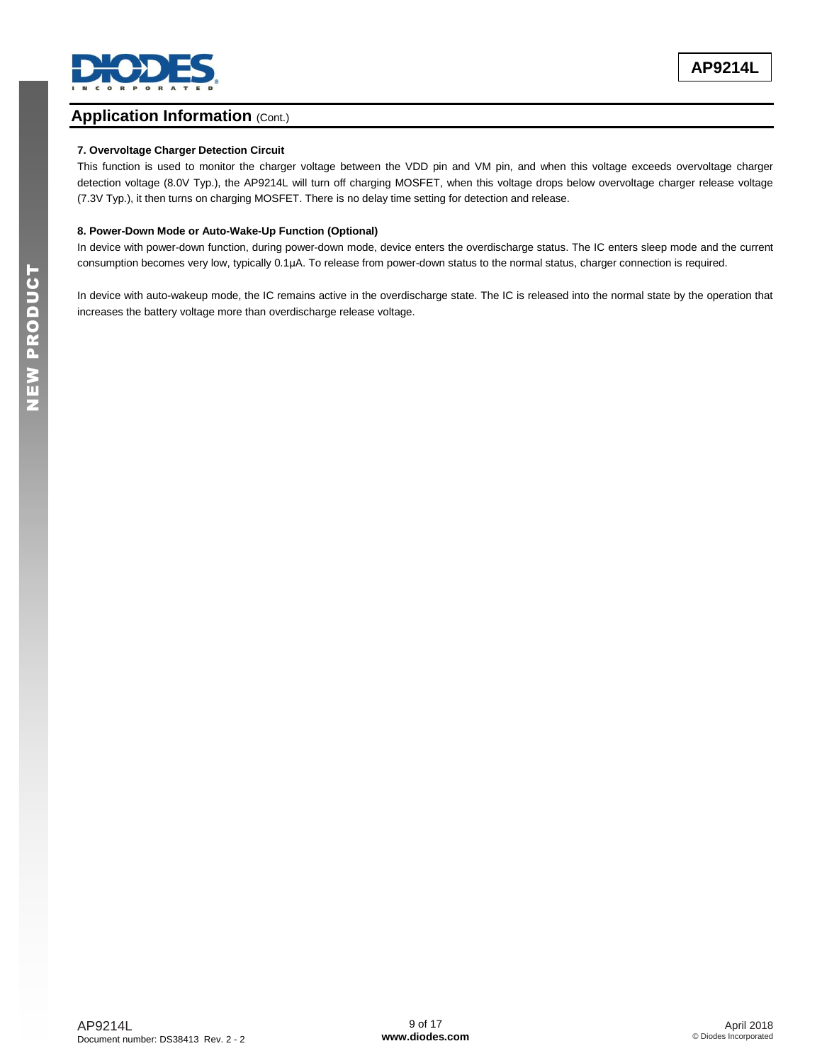

### **Application Information (Cont.)**

### **7. Overvoltage Charger Detection Circuit**

This function is used to monitor the charger voltage between the VDD pin and VM pin, and when this voltage exceeds overvoltage charger detection voltage (8.0V Typ.), the AP9214L will turn off charging MOSFET, when this voltage drops below overvoltage charger release voltage (7.3V Typ.), it then turns on charging MOSFET. There is no delay time setting for detection and release.

#### **8. Power-Down Mode or Auto-Wake-Up Function (Optional)**

In device with power-down function, during power-down mode, device enters the overdischarge status. The IC enters sleep mode and the current consumption becomes very low, typically 0.1μA. To release from power-down status to the normal status, charger connection is required.

In device with auto-wakeup mode, the IC remains active in the overdischarge state. The IC is released into the normal state by the operation that increases the battery voltage more than overdischarge release voltage.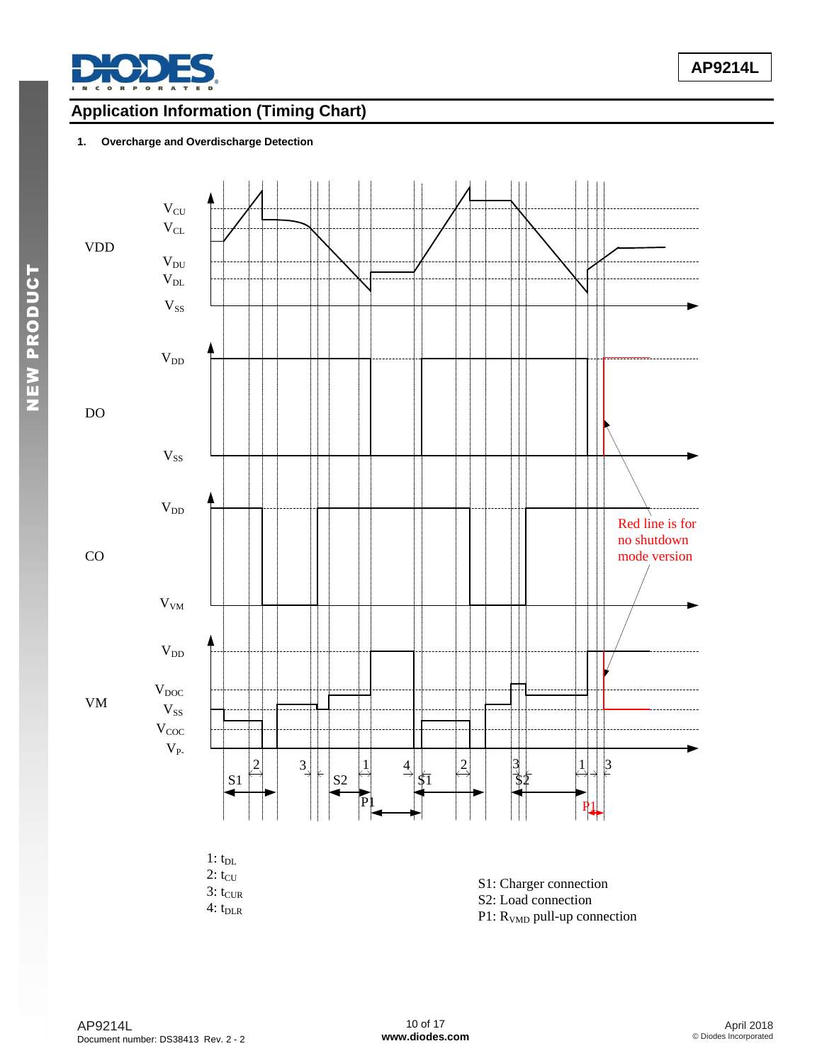

NEW PRODUCT

# **Application Information (Timing Chart)**

### **1. Overcharge and Overdischarge Detection**

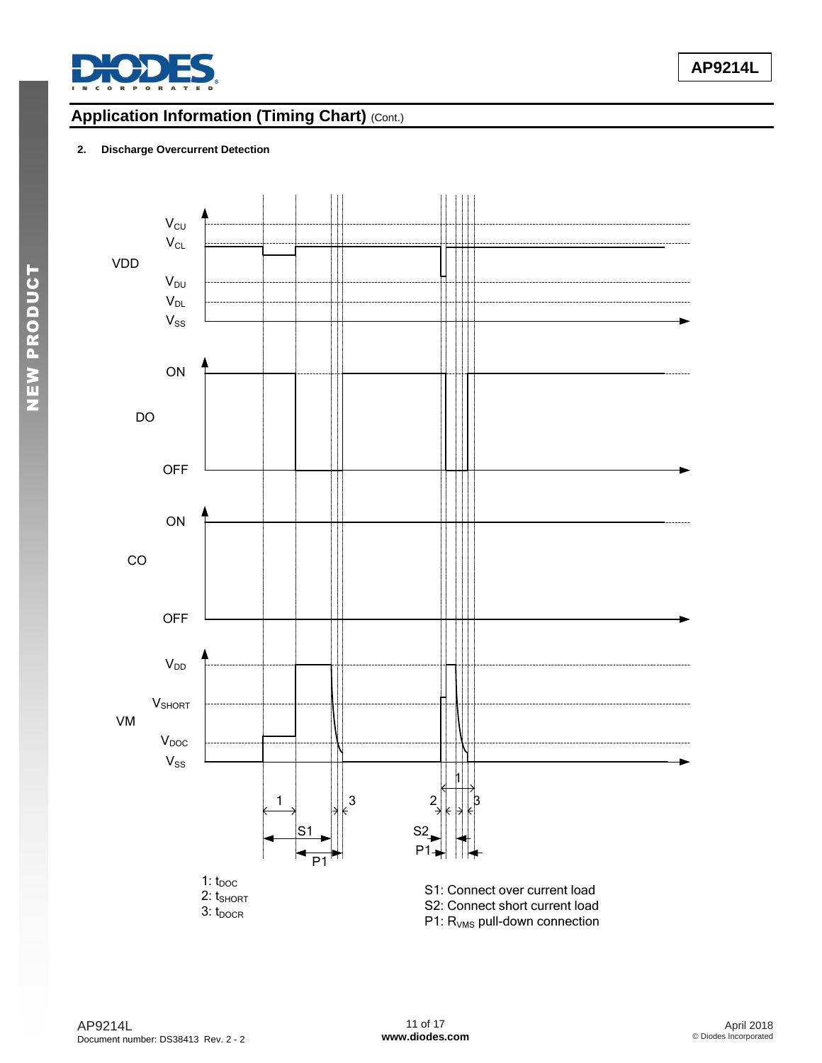

# **Application Information (Timing Chart)** (Cont.)

### **2. Discharge Overcurrent Detection**



NEW PRODUCT

NEW PRODUCT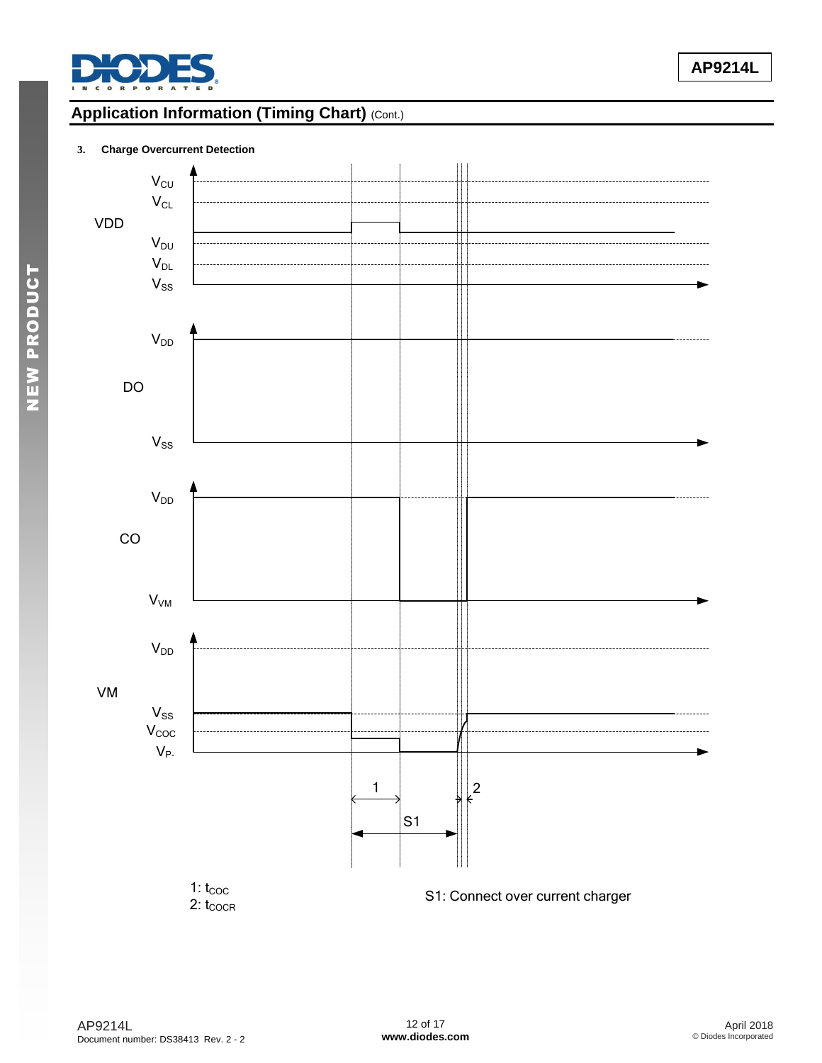

# **Application Information (Timing Chart)** (Cont.)

### **3. Charge Overcurrent Detection**

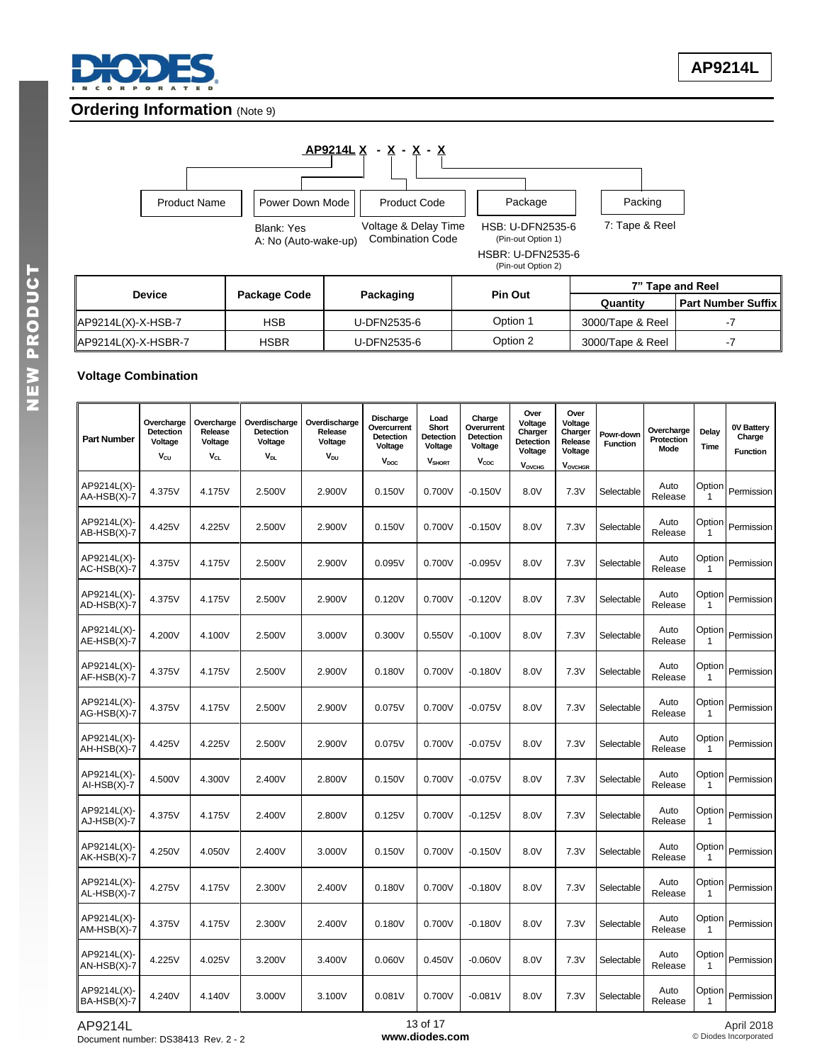

### **Ordering Information (Note 9)**



|                     |              |             | 7" Tape and Reel |                  |                      |
|---------------------|--------------|-------------|------------------|------------------|----------------------|
| Device              | Package Code | Packaging   | <b>Pin Out</b>   | Quantity         | l Part Number Suffix |
| AP9214L(X)-X-HSB-7  | HSB          | U-DFN2535-6 | Option 1         | 3000/Tape & Reel |                      |
| AP9214L(X)-X-HSBR-7 | HSBR         | U-DFN2535-6 | Option 2         | 3000/Tape & Reel | - 1                  |

### **Voltage Combination**

| <b>Part Number</b>           | Overcharge<br>Detection<br>Voltage<br>Vcu | Overcharge<br>Release<br>Voltage<br>$V_{CL}$ | Overdischarge<br>Detection<br>Voltage<br><b>V<sub>DL</sub></b> | Overdischarge<br>Release<br>Voltage<br><b>V<sub>DU</sub></b> | Discharge<br>Overcurrent<br><b>Detection</b><br>Voltage<br>$V_{\text{DOC}}$ | Load<br>Short<br><b>Detection</b><br>Voltage<br><b>V</b> SHORT | Charge<br>Overurrent<br><b>Detection</b><br>Voltage<br>$V_{\rm coc}$ | Over<br>Voltage<br>Charger<br><b>Detection</b><br>Voltage<br><b>VOVCHG</b> | Over<br>Voltage<br>Charger<br>Release<br>Voltage<br><b>VOVCHGR</b> | Powr-down<br><b>Function</b> | Overcharge<br>Protection<br>Mode | Delay<br>Time          | 0V Battery<br>Charge<br><b>Function</b> |
|------------------------------|-------------------------------------------|----------------------------------------------|----------------------------------------------------------------|--------------------------------------------------------------|-----------------------------------------------------------------------------|----------------------------------------------------------------|----------------------------------------------------------------------|----------------------------------------------------------------------------|--------------------------------------------------------------------|------------------------------|----------------------------------|------------------------|-----------------------------------------|
| AP9214L(X)-<br>AA-HSB(X)-7   | 4.375V                                    | 4.175V                                       | 2.500V                                                         | 2.900V                                                       | 0.150V                                                                      | 0.700V                                                         | $-0.150V$                                                            | 8.0V                                                                       | 7.3V                                                               | Selectable                   | Auto<br>Release                  | Option<br>$\mathbf{1}$ | Permission                              |
| AP9214L(X)-<br>AB-HSB(X)-7   | 4.425V                                    | 4.225V                                       | 2.500V                                                         | 2.900V                                                       | 0.150V                                                                      | 0.700V                                                         | $-0.150V$                                                            | 8.0V                                                                       | 7.3V                                                               | Selectable                   | Auto<br>Release                  | Option<br>$\mathbf{1}$ | Permission                              |
| AP9214L(X)-<br>AC-HSB(X)-7   | 4.375V                                    | 4.175V                                       | 2.500V                                                         | 2.900V                                                       | 0.095V                                                                      | 0.700V                                                         | $-0.095V$                                                            | 8.0V                                                                       | 7.3V                                                               | Selectable                   | Auto<br>Release                  | Option<br>$\mathbf{1}$ | Permission                              |
| AP9214L(X)-<br>AD-HSB(X)-7   | 4.375V                                    | 4.175V                                       | 2.500V                                                         | 2.900V                                                       | 0.120V                                                                      | 0.700V                                                         | $-0.120V$                                                            | 8.0V                                                                       | 7.3V                                                               | Selectable                   | Auto<br>Release                  | Option<br>$\mathbf{1}$ | Permission                              |
| AP9214L(X)-<br>AE-HSB(X)-7   | 4.200V                                    | 4.100V                                       | 2.500V                                                         | 3.000V                                                       | 0.300V                                                                      | 0.550V                                                         | $-0.100V$                                                            | 8.0V                                                                       | 7.3V                                                               | Selectable                   | Auto<br>Release                  | Option<br>$\mathbf{1}$ | Permission                              |
| AP9214L(X)-<br>$AF-HSB(X)-7$ | 4.375V                                    | 4.175V                                       | 2.500V                                                         | 2.900V                                                       | 0.180V                                                                      | 0.700V                                                         | $-0.180V$                                                            | 8.0V                                                                       | 7.3V                                                               | Selectable                   | Auto<br>Release                  | Option<br>$\mathbf{1}$ | Permission                              |
| AP9214L(X)-<br>AG-HSB(X)-7   | 4.375V                                    | 4.175V                                       | 2.500V                                                         | 2.900V                                                       | 0.075V                                                                      | 0.700V                                                         | $-0.075V$                                                            | 8.0V                                                                       | 7.3V                                                               | Selectable                   | Auto<br>Release                  | Option<br>$\mathbf{1}$ | Permission                              |
| AP9214L(X)-<br>AH-HSB(X)-7   | 4.425V                                    | 4.225V                                       | 2.500V                                                         | 2.900V                                                       | 0.075V                                                                      | 0.700V                                                         | $-0.075V$                                                            | 8.0V                                                                       | 7.3V                                                               | Selectable                   | Auto<br>Release                  | Option<br>1            | Permission                              |
| AP9214L(X)-<br>$AI-HSB(X)-7$ | 4.500V                                    | 4.300V                                       | 2.400V                                                         | 2.800V                                                       | 0.150V                                                                      | 0.700V                                                         | $-0.075V$                                                            | 8.0V                                                                       | 7.3V                                                               | Selectable                   | Auto<br>Release                  | Option<br>$\mathbf{1}$ | Permission                              |
| AP9214L(X)-<br>$AJ-HSB(X)-7$ | 4.375V                                    | 4.175V                                       | 2.400V                                                         | 2.800V                                                       | 0.125V                                                                      | 0.700V                                                         | $-0.125V$                                                            | 8.0V                                                                       | 7.3V                                                               | Selectable                   | Auto<br>Release                  | Option<br>$\mathbf{1}$ | Permission                              |
| AP9214L(X)-<br>AK-HSB(X)-7   | 4.250V                                    | 4.050V                                       | 2.400V                                                         | 3.000V                                                       | 0.150V                                                                      | 0.700V                                                         | $-0.150V$                                                            | 8.0V                                                                       | 7.3V                                                               | Selectable                   | Auto<br>Release                  | Option<br>$\mathbf{1}$ | Permission                              |
| AP9214L(X)-<br>$AL-HSB(X)-7$ | 4.275V                                    | 4.175V                                       | 2.300V                                                         | 2.400V                                                       | 0.180V                                                                      | 0.700V                                                         | $-0.180V$                                                            | 8.0V                                                                       | 7.3V                                                               | Selectable                   | Auto<br>Release                  | Option<br>$\mathbf{1}$ | Permission                              |
| AP9214L(X)-<br>$AM-HSB(X)-7$ | 4.375V                                    | 4.175V                                       | 2.300V                                                         | 2.400V                                                       | 0.180V                                                                      | 0.700V                                                         | $-0.180V$                                                            | 8.0V                                                                       | 7.3V                                                               | Selectable                   | Auto<br>Release                  | Option<br>$\mathbf{1}$ | Permission                              |
| AP9214L(X)-<br>AN-HSB(X)-7   | 4.225V                                    | 4.025V                                       | 3.200V                                                         | 3.400V                                                       | 0.060V                                                                      | 0.450V                                                         | $-0.060V$                                                            | 8.0V                                                                       | 7.3V                                                               | Selectable                   | Auto<br>Release                  | Option<br>$\mathbf{1}$ | Permission                              |
| AP9214L(X)-<br>BA-HSB(X)-7   | 4.240V                                    | 4.140V                                       | 3.000V                                                         | 3.100V                                                       | 0.081V                                                                      | 0.700V                                                         | $-0.081V$                                                            | 8.0V                                                                       | 7.3V                                                               | Selectable                   | Auto<br>Release                  | Option<br>1            | Permission                              |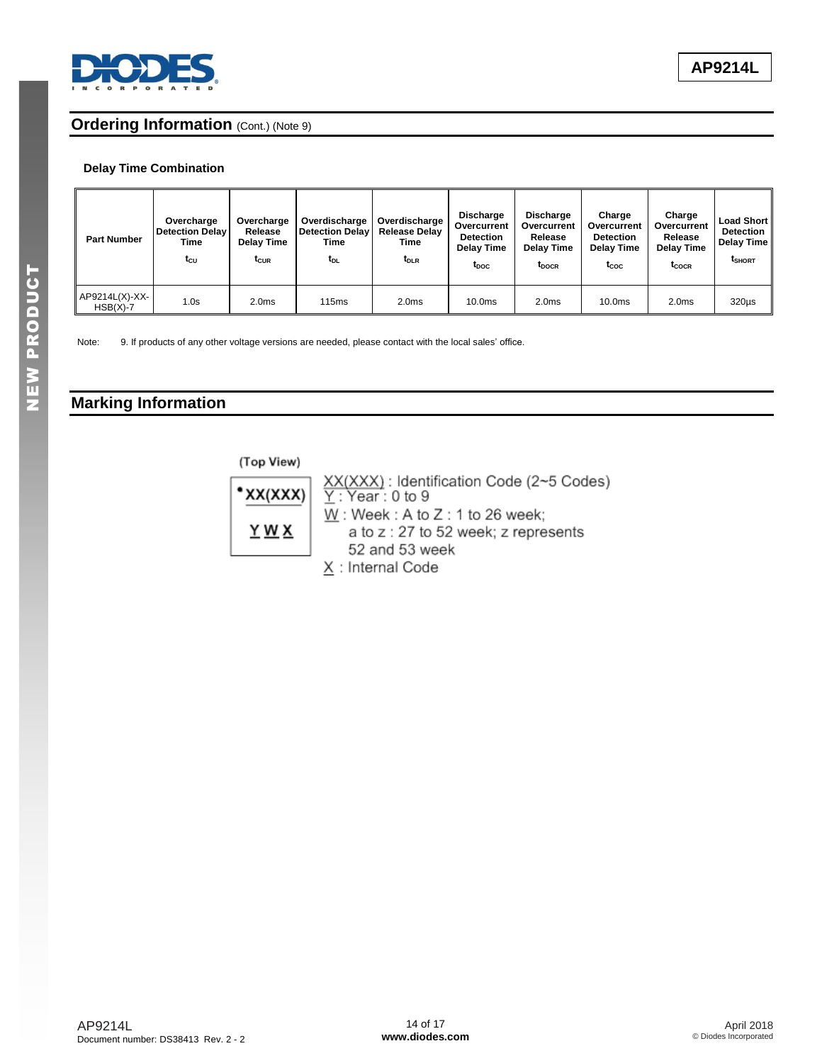

### **Ordering Information** (Cont.) (Note 9)

### **Delay Time Combination**

| <b>Part Number</b>           | Overcharge<br><b>Detection Delay</b><br>Time<br>t <sub>cu</sub> | Overcharge<br>Release<br>Delay Time<br>$t_{CUR}$ | Overdischarge<br><b>Detection Delay</b><br>Time<br>t <sub>DL</sub> | Overdischarge<br>Release Delay<br>Time<br>t <sub>DLR</sub> | <b>Discharge</b><br>Overcurrent<br><b>Detection</b><br>Delay Time<br>t <sub>poc</sub> | <b>Discharge</b><br>Overcurrent<br>Release<br>Delay Time<br>t <sub>DOCR</sub> | Charge<br>Overcurrent<br><b>Detection</b><br>Delay Time<br>$t_{\rm coc}$ | Charge<br>Overcurrent<br>Release<br>Delay Time<br>t <sub>cocr</sub> | <b>Load Short</b><br>Detection  <br><b>Delay Time</b><br><b>I</b> SHORT |
|------------------------------|-----------------------------------------------------------------|--------------------------------------------------|--------------------------------------------------------------------|------------------------------------------------------------|---------------------------------------------------------------------------------------|-------------------------------------------------------------------------------|--------------------------------------------------------------------------|---------------------------------------------------------------------|-------------------------------------------------------------------------|
| AP9214L(X)-XX-<br>$HSB(X)-7$ | 1.0s                                                            | 2.0 <sub>ms</sub>                                | <b>115ms</b>                                                       | 2.0 <sub>ms</sub>                                          | 10.0 <sub>ms</sub>                                                                    | 2.0 <sub>ms</sub>                                                             | 10.0 <sub>ms</sub>                                                       | 2.0 <sub>ms</sub>                                                   | $320\mu s$                                                              |

Note: 9. If products of any other voltage versions are needed, please contact with the local sales' office.

# **Marking Information**

(Top View)



XX(XXX): Identification Code (2~5 Codes)<br>Y: Year : 0 to 9  $\underline{W}$ : Week : A to Z : 1 to 26 week; a to z: 27 to 52 week; z represents 52 and 53 week X: Internal Code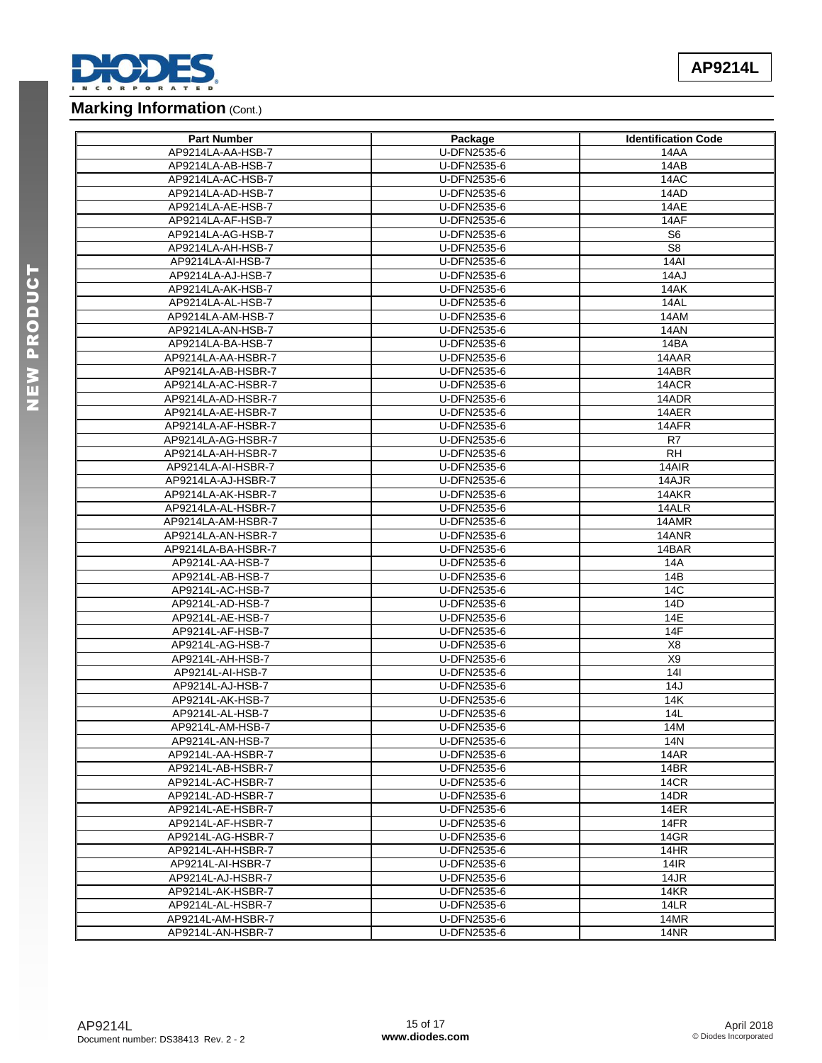

# **Marking Information (Cont.)**

| <b>Part Number</b> | Package     | <b>Identification Code</b> |
|--------------------|-------------|----------------------------|
| AP9214LA-AA-HSB-7  | U-DFN2535-6 | 14AA                       |
| AP9214LA-AB-HSB-7  | U-DFN2535-6 | 14AB                       |
| AP9214LA-AC-HSB-7  | U-DFN2535-6 | 14AC                       |
| AP9214LA-AD-HSB-7  | U-DFN2535-6 | 14AD                       |
| AP9214LA-AE-HSB-7  | U-DFN2535-6 | 14AE                       |
| AP9214LA-AF-HSB-7  | U-DFN2535-6 | 14AF                       |
| AP9214LA-AG-HSB-7  | U-DFN2535-6 | S <sub>6</sub>             |
| AP9214LA-AH-HSB-7  | U-DFN2535-6 | S <sub>8</sub>             |
| AP9214LA-AI-HSB-7  | U-DFN2535-6 | 14AI                       |
| AP9214LA-AJ-HSB-7  | U-DFN2535-6 | 14AJ                       |
| AP9214LA-AK-HSB-7  | U-DFN2535-6 | 14AK                       |
| AP9214LA-AL-HSB-7  | U-DFN2535-6 | 14AL                       |
| AP9214LA-AM-HSB-7  | U-DFN2535-6 | 14AM                       |
| AP9214LA-AN-HSB-7  | U-DFN2535-6 | 14AN                       |
| AP9214LA-BA-HSB-7  | U-DFN2535-6 | 14BA                       |
| AP9214LA-AA-HSBR-7 | U-DFN2535-6 | 14AAR                      |
| AP9214LA-AB-HSBR-7 | U-DFN2535-6 | 14ABR                      |
| AP9214LA-AC-HSBR-7 | U-DFN2535-6 | 14ACR                      |
| AP9214LA-AD-HSBR-7 | U-DFN2535-6 | 14ADR                      |
| AP9214LA-AE-HSBR-7 | U-DFN2535-6 | 14AER                      |
| AP9214LA-AF-HSBR-7 | U-DFN2535-6 | 14AFR                      |
|                    |             |                            |
| AP9214LA-AG-HSBR-7 | U-DFN2535-6 | R7                         |
| AP9214LA-AH-HSBR-7 | U-DFN2535-6 | <b>RH</b>                  |
| AP9214LA-AI-HSBR-7 | U-DFN2535-6 | 14AIR                      |
| AP9214LA-AJ-HSBR-7 | U-DFN2535-6 | 14AJR                      |
| AP9214LA-AK-HSBR-7 | U-DFN2535-6 | 14AKR                      |
| AP9214LA-AL-HSBR-7 | U-DFN2535-6 | 14ALR                      |
| AP9214LA-AM-HSBR-7 | U-DFN2535-6 | 14AMR                      |
| AP9214LA-AN-HSBR-7 | U-DFN2535-6 | 14ANR                      |
| AP9214LA-BA-HSBR-7 | U-DFN2535-6 | 14BAR                      |
| AP9214L-AA-HSB-7   | U-DFN2535-6 | 14A                        |
| AP9214L-AB-HSB-7   | U-DFN2535-6 | 14B                        |
| AP9214L-AC-HSB-7   | U-DFN2535-6 | 14C                        |
| AP9214L-AD-HSB-7   | U-DFN2535-6 | 14D                        |
| AP9214L-AE-HSB-7   | U-DFN2535-6 | 14E                        |
| AP9214L-AF-HSB-7   | U-DFN2535-6 | 14F                        |
| AP9214L-AG-HSB-7   | U-DFN2535-6 | X <sub>8</sub>             |
| AP9214L-AH-HSB-7   | U-DFN2535-6 | X9                         |
| AP9214L-AI-HSB-7   | U-DFN2535-6 | 141                        |
| AP9214L-AJ-HSB-7   | U-DFN2535-6 | 14J                        |
| AP9214L-AK-HSB-7   | U-DFN2535-6 | 14K                        |
| AP9214L-AL-HSB-7   | U-DFN2535-6 | 14L                        |
| AP9214L-AM-HSB-7   | U-DFN2535-6 | 14M                        |
| AP9214L-AN-HSB-7   | U-DFN2535-6 | 14N                        |
| AP9214L-AA-HSBR-7  | U-DFN2535-6 | 14AR                       |
| AP9214L-AB-HSBR-7  | U-DFN2535-6 | 14BR                       |
| AP9214L-AC-HSBR-7  | U-DFN2535-6 | 14CR                       |
| AP9214L-AD-HSBR-7  | U-DFN2535-6 | 14DR                       |
| AP9214L-AE-HSBR-7  | U-DFN2535-6 | 14ER                       |
| AP9214L-AF-HSBR-7  | U-DFN2535-6 | 14FR                       |
| AP9214L-AG-HSBR-7  | U-DFN2535-6 | 14GR                       |
| AP9214L-AH-HSBR-7  | U-DFN2535-6 | 14HR                       |
| AP9214L-AI-HSBR-7  | U-DFN2535-6 | 14IR                       |
| AP9214L-AJ-HSBR-7  | U-DFN2535-6 | 14JR                       |
| AP9214L-AK-HSBR-7  | U-DFN2535-6 | <b>14KR</b>                |
| AP9214L-AL-HSBR-7  | U-DFN2535-6 | 14LR                       |
| AP9214L-AM-HSBR-7  | U-DFN2535-6 | 14MR                       |
| AP9214L-AN-HSBR-7  | U-DFN2535-6 | 14NR                       |
|                    |             |                            |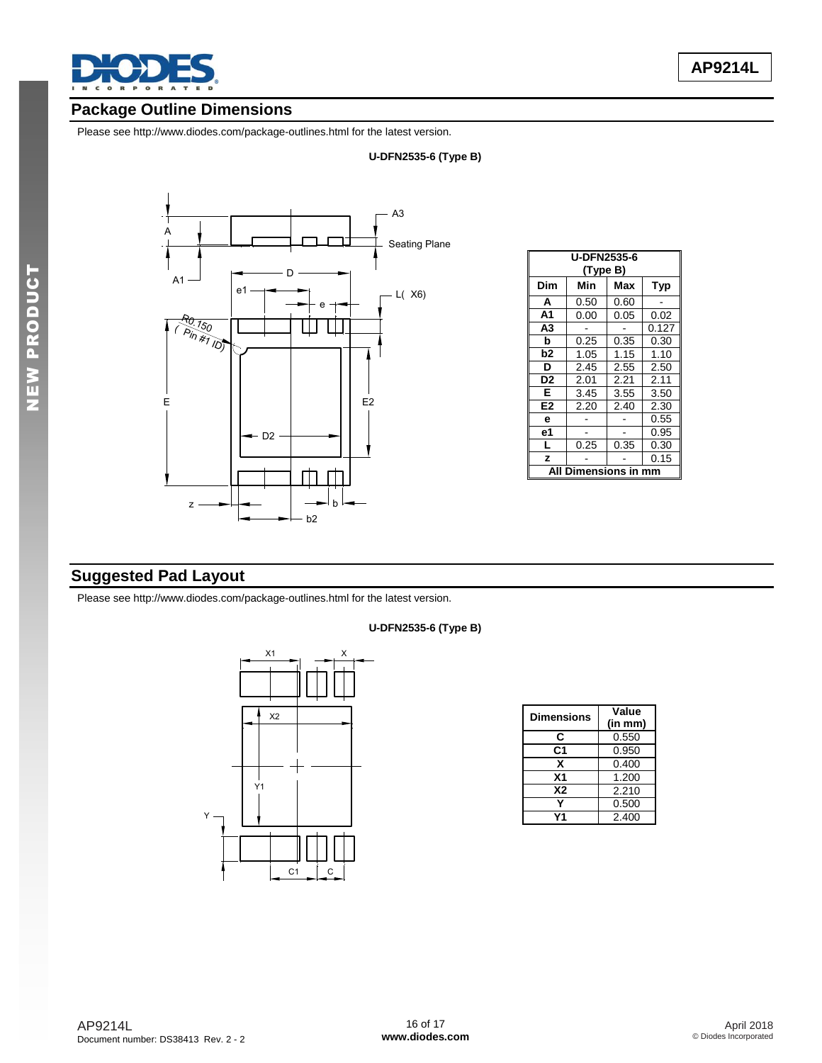

# **Package Outline Dimensions**

Please see <http://www.diodes.com/package-outlines.html> for the latest version.

### **U-DFN2535-6 (Type B)**



|                | <b>U-DFN2535-6</b><br>(Type B) |      |            |  |  |
|----------------|--------------------------------|------|------------|--|--|
| Dim            | Min                            | Max  | <b>Typ</b> |  |  |
| A              | 0.50                           | 0.60 |            |  |  |
| A <sub>1</sub> | 0.00                           | 0.05 | 0.02       |  |  |
| A3             |                                |      | 0.127      |  |  |
| b              | 0.25                           | 0.35 | 0.30       |  |  |
| b2             | 1.05                           | 1.15 | 1.10       |  |  |
| D              | 2.45                           | 2.55 | 2.50       |  |  |
| D2             | 2.01                           | 2.21 | 2.11       |  |  |
| Е              | 3.45                           | 3.55 | 3.50       |  |  |
| E2             | 2.20                           | 2.40 | 2.30       |  |  |
| e              |                                |      | 0.55       |  |  |
| е1             |                                |      | 0.95       |  |  |
| L              | 0.25                           | 0.35 | 0.30       |  |  |
| z              |                                |      | 0.15       |  |  |
| ΔIΙ            | <b>Dimensions in</b>           |      | mm         |  |  |

# **Suggested Pad Layout**

Please see <http://www.diodes.com/package-outlines.html> for the latest version.



| <b>Dimensions</b> | Value<br>(in mm) |
|-------------------|------------------|
| С                 | 0.550            |
| C <sub>1</sub>    | 0.950            |
| x                 | 0.400            |
| X <sub>1</sub>    | 1.200            |
| <b>X2</b>         | 2.210            |
|                   | 0.500            |
|                   | 2.400            |